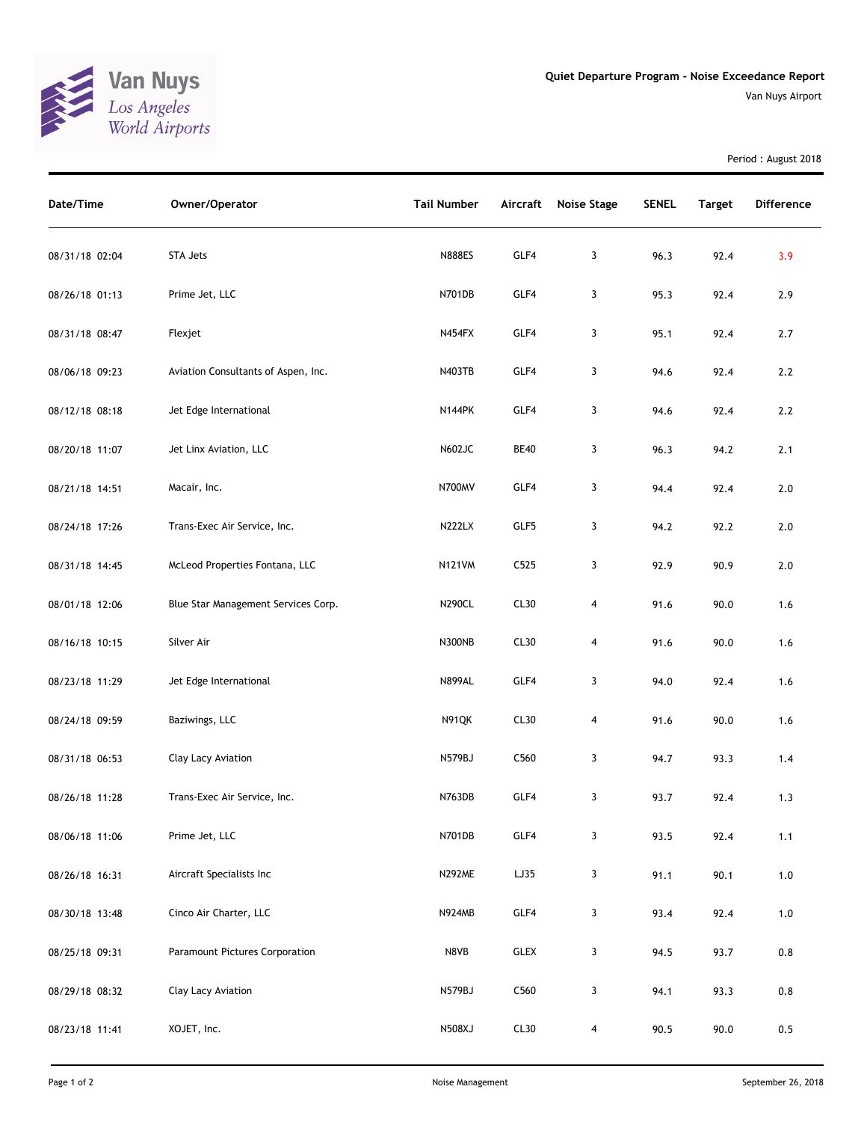

Period : August 2018

| Date/Time      | Owner/Operator                      | <b>Tail Number</b> | Aircraft    | <b>Noise Stage</b> | <b>SENEL</b> | <b>Target</b> | <b>Difference</b> |
|----------------|-------------------------------------|--------------------|-------------|--------------------|--------------|---------------|-------------------|
| 08/31/18 02:04 | STA Jets                            | <b>N888ES</b>      | GLF4        | 3                  | 96.3         | 92.4          | 3.9               |
| 08/26/18 01:13 | Prime Jet, LLC                      | N701DB             | GLF4        | 3                  | 95.3         | 92.4          | 2.9               |
| 08/31/18 08:47 | Flexjet                             | N454FX             | GLF4        | 3                  | 95.1         | 92.4          | 2.7               |
| 08/06/18 09:23 | Aviation Consultants of Aspen, Inc. | N403TB             | GLF4        | 3                  | 94.6         | 92.4          | 2.2               |
| 08/12/18 08:18 | Jet Edge International              | N144PK             | GLF4        | 3                  | 94.6         | 92.4          | 2.2               |
| 08/20/18 11:07 | Jet Linx Aviation, LLC              | <b>N602JC</b>      | <b>BE40</b> | 3                  | 96.3         | 94.2          | 2.1               |
| 08/21/18 14:51 | Macair, Inc.                        | N700MV             | GLF4        | 3                  | 94.4         | 92.4          | 2.0               |
| 08/24/18 17:26 | Trans-Exec Air Service, Inc.        | <b>N222LX</b>      | GLF5        | 3                  | 94.2         | 92.2          | 2.0               |
| 08/31/18 14:45 | McLeod Properties Fontana, LLC      | <b>N121VM</b>      | C525        | 3                  | 92.9         | 90.9          | 2.0               |
| 08/01/18 12:06 | Blue Star Management Services Corp. | <b>N290CL</b>      | CL30        | 4                  | 91.6         | 90.0          | 1.6               |
| 08/16/18 10:15 | Silver Air                          | N300NB             | CL30        | 4                  | 91.6         | 90.0          | 1.6               |
| 08/23/18 11:29 | Jet Edge International              | <b>N899AL</b>      | GLF4        | 3                  | 94.0         | 92.4          | 1.6               |
| 08/24/18 09:59 | Baziwings, LLC                      | N91QK              | CL30        | 4                  | 91.6         | 90.0          | 1.6               |
| 08/31/18 06:53 | Clay Lacy Aviation                  | N579BJ             | C560        | 3                  | 94.7         | 93.3          | 1.4               |
| 08/26/18 11:28 | Trans-Exec Air Service, Inc.        | N763DB             | GLF4        | 3                  | 93.7         | 92.4          | 1.3               |
| 08/06/18 11:06 | Prime Jet, LLC                      | N701DB             | GLF4        | 3                  | 93.5         | 92.4          | 1.1               |
| 08/26/18 16:31 | Aircraft Specialists Inc            | <b>N292ME</b>      | LJ35        | 3                  | 91.1         | 90.1          | $1.0\,$           |
| 08/30/18 13:48 | Cinco Air Charter, LLC              | <b>N924MB</b>      | GLF4        | 3                  | 93.4         | 92.4          | $1.0$             |
| 08/25/18 09:31 | Paramount Pictures Corporation      | N8VB               | GLEX        | 3                  | 94.5         | 93.7          | $0.8\,$           |
| 08/29/18 08:32 | Clay Lacy Aviation                  | N579BJ             | C560        | 3                  | 94.1         | 93.3          | 0.8               |
| 08/23/18 11:41 | XOJET, Inc.                         | N508XJ             | CL30        | 4                  | 90.5         | 90.0          | 0.5               |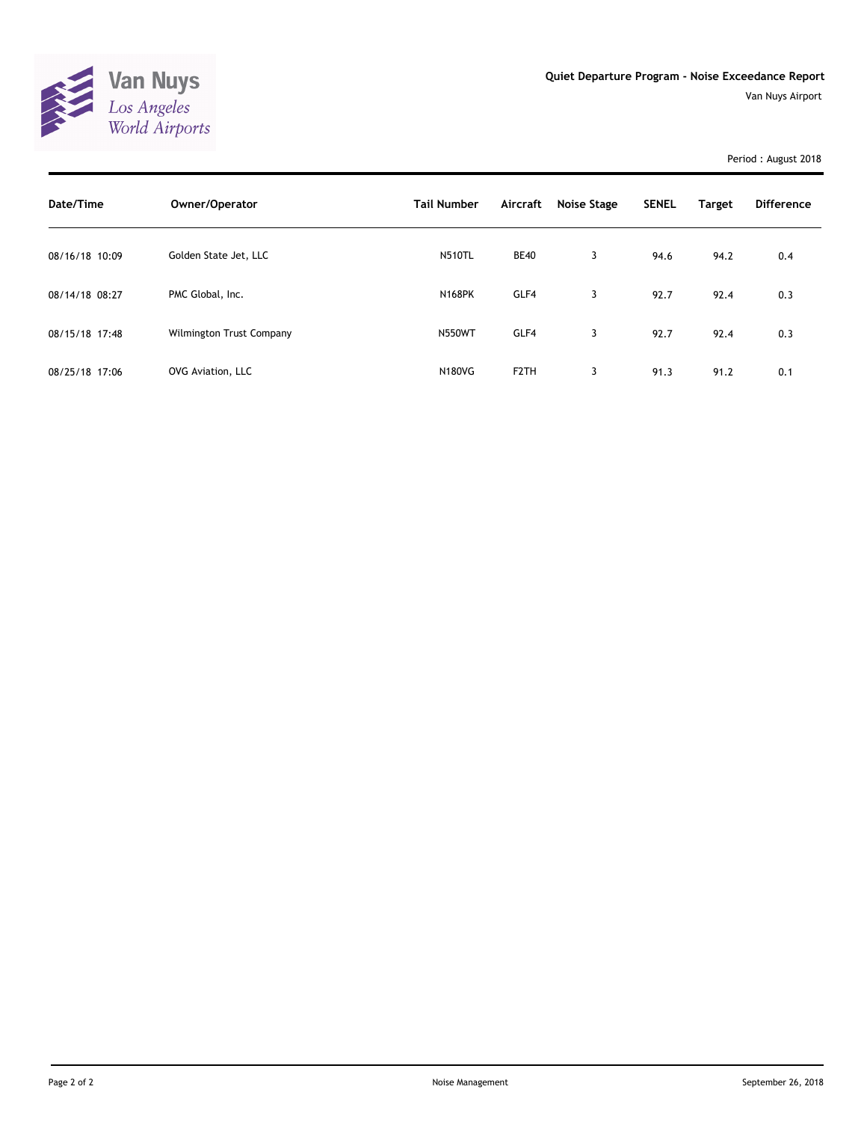

Period : August 2018

| Date/Time      | Owner/Operator           | <b>Tail Number</b> | Aircraft          | Noise Stage | <b>SENEL</b> | <b>Target</b> | <b>Difference</b> |
|----------------|--------------------------|--------------------|-------------------|-------------|--------------|---------------|-------------------|
| 08/16/18 10:09 | Golden State Jet, LLC    | <b>N510TL</b>      | <b>BE40</b>       | 3           | 94.6         | 94.2          | 0.4               |
| 08/14/18 08:27 | PMC Global, Inc.         | <b>N168PK</b>      | GLF4              | 3           | 92.7         | 92.4          | 0.3               |
| 08/15/18 17:48 | Wilmington Trust Company | <b>N550WT</b>      | GLF4              | 3           | 92.7         | 92.4          | 0.3               |
| 08/25/18 17:06 | OVG Aviation, LLC        | <b>N180VG</b>      | F <sub>2</sub> TH | 3           | 91.3         | 91.2          | 0.1               |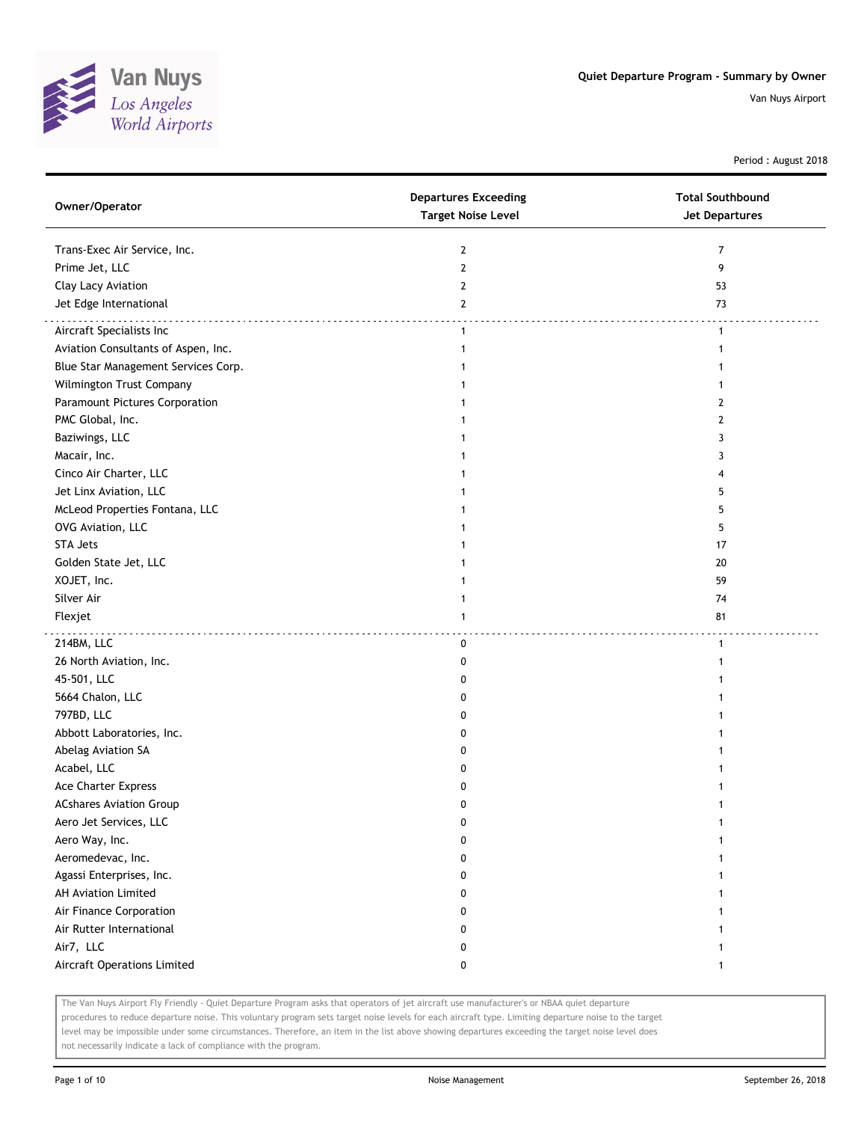

Period : August 2018

| Owner/Operator                      | <b>Departures Exceeding</b><br><b>Target Noise Level</b> | <b>Total Southbound</b><br>Jet Departures |
|-------------------------------------|----------------------------------------------------------|-------------------------------------------|
| Trans-Exec Air Service, Inc.        | $\mathbf{2}$                                             | 7                                         |
| Prime Jet, LLC                      | $\mathbf{2}$                                             | 9                                         |
| Clay Lacy Aviation                  | $\mathbf{2}$                                             | 53                                        |
| Jet Edge International              | $\mathbf{2}$                                             | 73                                        |
| Aircraft Specialists Inc            | $\mathbf{1}$                                             | $\mathbf{1}$                              |
| Aviation Consultants of Aspen, Inc. | 1                                                        | 1                                         |
| Blue Star Management Services Corp. | $\mathbf{1}$                                             |                                           |
| Wilmington Trust Company            |                                                          |                                           |
| Paramount Pictures Corporation      |                                                          | 2                                         |
| PMC Global, Inc.                    |                                                          | 2                                         |
| Baziwings, LLC                      |                                                          | 3                                         |
| Macair, Inc.                        |                                                          | 3                                         |
| Cinco Air Charter, LLC              |                                                          |                                           |
| Jet Linx Aviation, LLC              |                                                          | 5                                         |
| McLeod Properties Fontana, LLC      |                                                          | 5                                         |
| OVG Aviation, LLC                   |                                                          | 5                                         |
| <b>STA Jets</b>                     |                                                          | 17                                        |
| Golden State Jet, LLC               |                                                          | 20                                        |
| XOJET, Inc.                         |                                                          | 59                                        |
| Silver Air                          |                                                          | 74                                        |
| Flexjet                             | 1                                                        | 81                                        |
| 214BM, LLC                          | 0                                                        | $\mathbf{1}$                              |
| 26 North Aviation, Inc.             | 0                                                        | 1                                         |
| 45-501, LLC                         | 0                                                        |                                           |
| 5664 Chalon, LLC                    | 0                                                        |                                           |
| 797BD, LLC                          | 0                                                        |                                           |
| Abbott Laboratories, Inc.           | 0                                                        |                                           |
| Abelag Aviation SA                  | 0                                                        |                                           |
| Acabel, LLC                         | 0                                                        |                                           |
| Ace Charter Express                 | 0                                                        |                                           |
| <b>ACshares Aviation Group</b>      | 0                                                        |                                           |
| Aero Jet Services, LLC              | 0                                                        | 1                                         |
| Aero Way, Inc.                      | 0                                                        |                                           |
| Aeromedevac, Inc.                   | 0                                                        |                                           |
| Agassi Enterprises, Inc.            | 0                                                        |                                           |
| AH Aviation Limited                 | 0                                                        |                                           |
| Air Finance Corporation             | 0                                                        |                                           |
| Air Rutter International            | 0                                                        |                                           |
| Air7, LLC                           | 0                                                        |                                           |
| Aircraft Operations Limited         | 0                                                        | 1                                         |

The Van Nuys Airport Fly Friendly - Quiet Departure Program asks that operators of jet aircraft use manufacturer's or NBAA quiet departure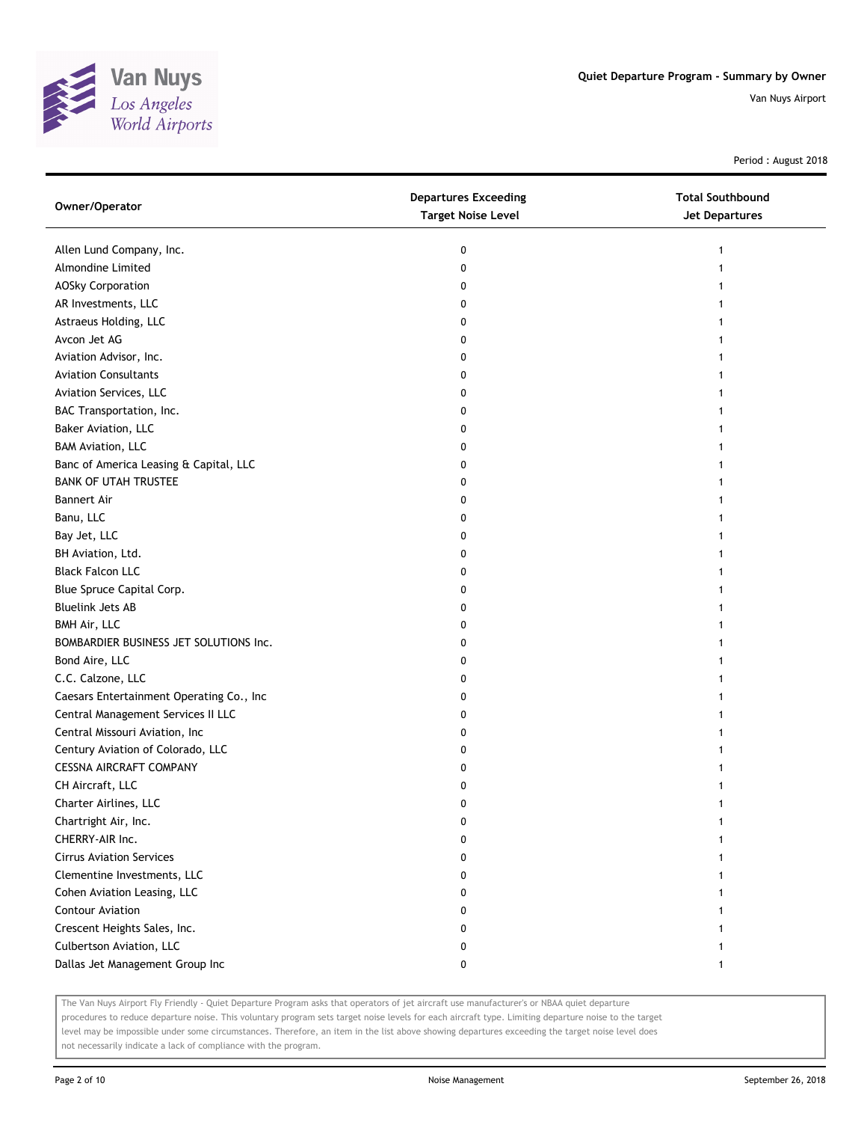

Period : August 2018

| Owner/Operator                           | <b>Departures Exceeding</b><br><b>Target Noise Level</b> | <b>Total Southbound</b><br>Jet Departures |
|------------------------------------------|----------------------------------------------------------|-------------------------------------------|
| Allen Lund Company, Inc.                 | 0                                                        | 1                                         |
| Almondine Limited                        | 0                                                        |                                           |
| AOSky Corporation                        | 0                                                        |                                           |
| AR Investments, LLC                      | 0                                                        |                                           |
| Astraeus Holding, LLC                    | 0                                                        |                                           |
| Avcon Jet AG                             | 0                                                        |                                           |
| Aviation Advisor, Inc.                   | 0                                                        |                                           |
| <b>Aviation Consultants</b>              | 0                                                        |                                           |
| Aviation Services, LLC                   | 0                                                        |                                           |
| BAC Transportation, Inc.                 | 0                                                        |                                           |
| Baker Aviation, LLC                      | 0                                                        |                                           |
| <b>BAM Aviation, LLC</b>                 | 0                                                        |                                           |
| Banc of America Leasing & Capital, LLC   | 0                                                        |                                           |
| <b>BANK OF UTAH TRUSTEE</b>              | 0                                                        |                                           |
| <b>Bannert Air</b>                       | 0                                                        |                                           |
| Banu, LLC                                | 0                                                        |                                           |
| Bay Jet, LLC                             | 0                                                        |                                           |
| BH Aviation, Ltd.                        | 0                                                        |                                           |
| <b>Black Falcon LLC</b>                  | 0                                                        |                                           |
| Blue Spruce Capital Corp.                | 0                                                        |                                           |
| <b>Bluelink Jets AB</b>                  | 0                                                        |                                           |
| BMH Air, LLC                             | 0                                                        |                                           |
| BOMBARDIER BUSINESS JET SOLUTIONS Inc.   | 0                                                        |                                           |
| Bond Aire, LLC                           | 0                                                        |                                           |
| C.C. Calzone, LLC                        | 0                                                        |                                           |
| Caesars Entertainment Operating Co., Inc | 0                                                        |                                           |
| Central Management Services II LLC       | 0                                                        |                                           |
| Central Missouri Aviation, Inc           | 0                                                        |                                           |
| Century Aviation of Colorado, LLC        | 0                                                        |                                           |
| CESSNA AIRCRAFT COMPANY                  | 0                                                        |                                           |
| CH Aircraft, LLC                         | 0                                                        |                                           |
| Charter Airlines, LLC                    | 0                                                        |                                           |
| Chartright Air, Inc.                     | 0                                                        |                                           |
| CHERRY-AIR Inc.                          | 0                                                        |                                           |
| <b>Cirrus Aviation Services</b>          | 0                                                        |                                           |
| Clementine Investments, LLC              | 0                                                        |                                           |
| Cohen Aviation Leasing, LLC              | 0                                                        |                                           |
| <b>Contour Aviation</b>                  | 0                                                        |                                           |
| Crescent Heights Sales, Inc.             | 0                                                        |                                           |
| Culbertson Aviation, LLC                 | 0                                                        |                                           |
| Dallas Jet Management Group Inc          | 0                                                        |                                           |

The Van Nuys Airport Fly Friendly - Quiet Departure Program asks that operators of jet aircraft use manufacturer's or NBAA quiet departure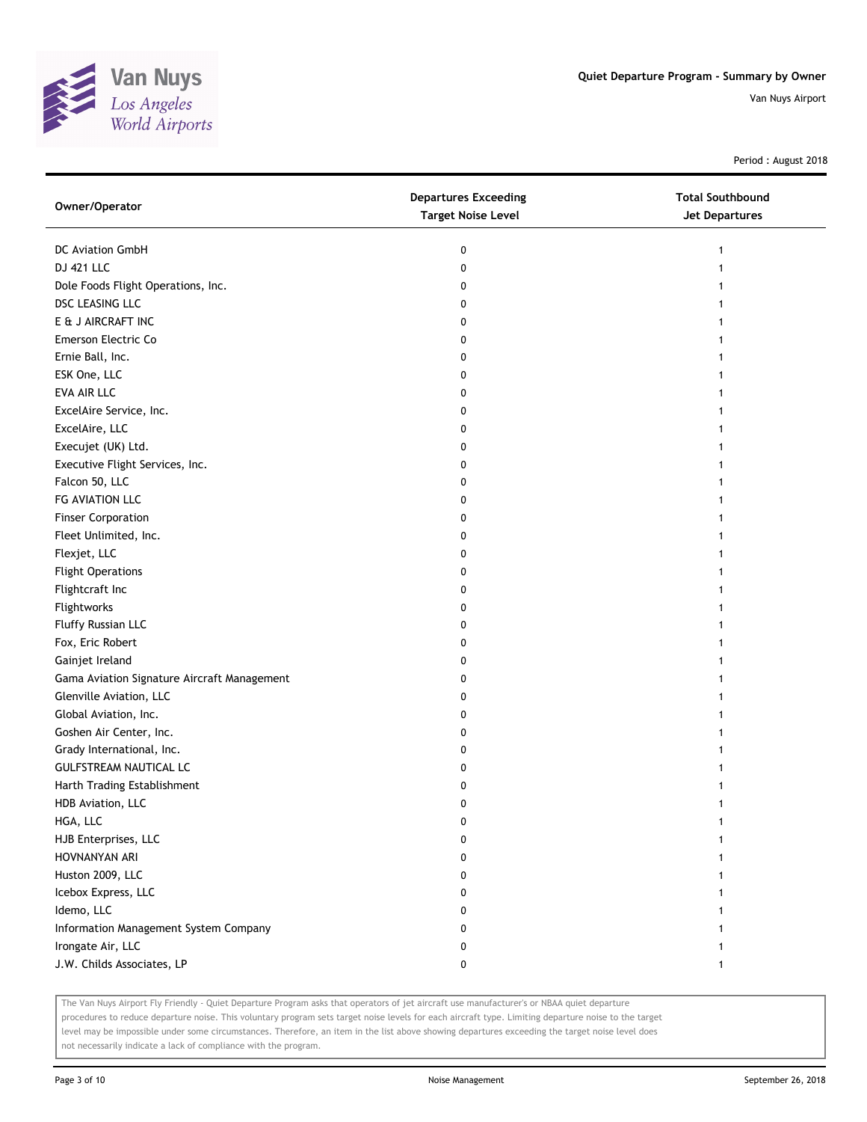

Period : August 2018

| Owner/Operator                              | <b>Departures Exceeding</b><br><b>Target Noise Level</b> | <b>Total Southbound</b><br>Jet Departures |
|---------------------------------------------|----------------------------------------------------------|-------------------------------------------|
| DC Aviation GmbH                            | 0                                                        | 1                                         |
| <b>DJ 421 LLC</b>                           | 0                                                        |                                           |
| Dole Foods Flight Operations, Inc.          | 0                                                        |                                           |
| DSC LEASING LLC                             | 0                                                        |                                           |
| E & J AIRCRAFT INC                          | 0                                                        |                                           |
| Emerson Electric Co                         | 0                                                        |                                           |
| Ernie Ball, Inc.                            | 0                                                        |                                           |
| ESK One, LLC                                | 0                                                        |                                           |
| EVA AIR LLC                                 | 0                                                        |                                           |
| ExcelAire Service, Inc.                     | 0                                                        |                                           |
| ExcelAire, LLC                              | 0                                                        |                                           |
| Execujet (UK) Ltd.                          | 0                                                        |                                           |
| Executive Flight Services, Inc.             | 0                                                        |                                           |
| Falcon 50, LLC                              | 0                                                        |                                           |
| FG AVIATION LLC                             | 0                                                        |                                           |
| <b>Finser Corporation</b>                   | 0                                                        |                                           |
| Fleet Unlimited, Inc.                       | 0                                                        |                                           |
| Flexjet, LLC                                | 0                                                        |                                           |
| <b>Flight Operations</b>                    | 0                                                        |                                           |
| Flightcraft Inc                             | 0                                                        |                                           |
| Flightworks                                 | 0                                                        |                                           |
| Fluffy Russian LLC                          | 0                                                        |                                           |
| Fox, Eric Robert                            | 0                                                        |                                           |
| Gainjet Ireland                             | 0                                                        |                                           |
| Gama Aviation Signature Aircraft Management | 0                                                        |                                           |
| Glenville Aviation, LLC                     | 0                                                        |                                           |
| Global Aviation, Inc.                       | 0                                                        |                                           |
| Goshen Air Center, Inc.                     | 0                                                        |                                           |
| Grady International, Inc.                   | 0                                                        |                                           |
| GULFSTREAM NAUTICAL LC                      | 0                                                        |                                           |
| Harth Trading Establishment                 | 0                                                        |                                           |
| HDB Aviation, LLC                           | 0                                                        |                                           |
| HGA, LLC                                    | 0                                                        |                                           |
| HJB Enterprises, LLC                        | 0                                                        |                                           |
| HOVNANYAN ARI                               | 0                                                        |                                           |
| Huston 2009, LLC                            | 0                                                        |                                           |
| Icebox Express, LLC                         | 0                                                        |                                           |
| Idemo, LLC                                  | 0                                                        |                                           |
| Information Management System Company       | 0                                                        |                                           |
| Irongate Air, LLC                           | 0                                                        |                                           |
| J.W. Childs Associates, LP                  | 0                                                        | 1                                         |

The Van Nuys Airport Fly Friendly - Quiet Departure Program asks that operators of jet aircraft use manufacturer's or NBAA quiet departure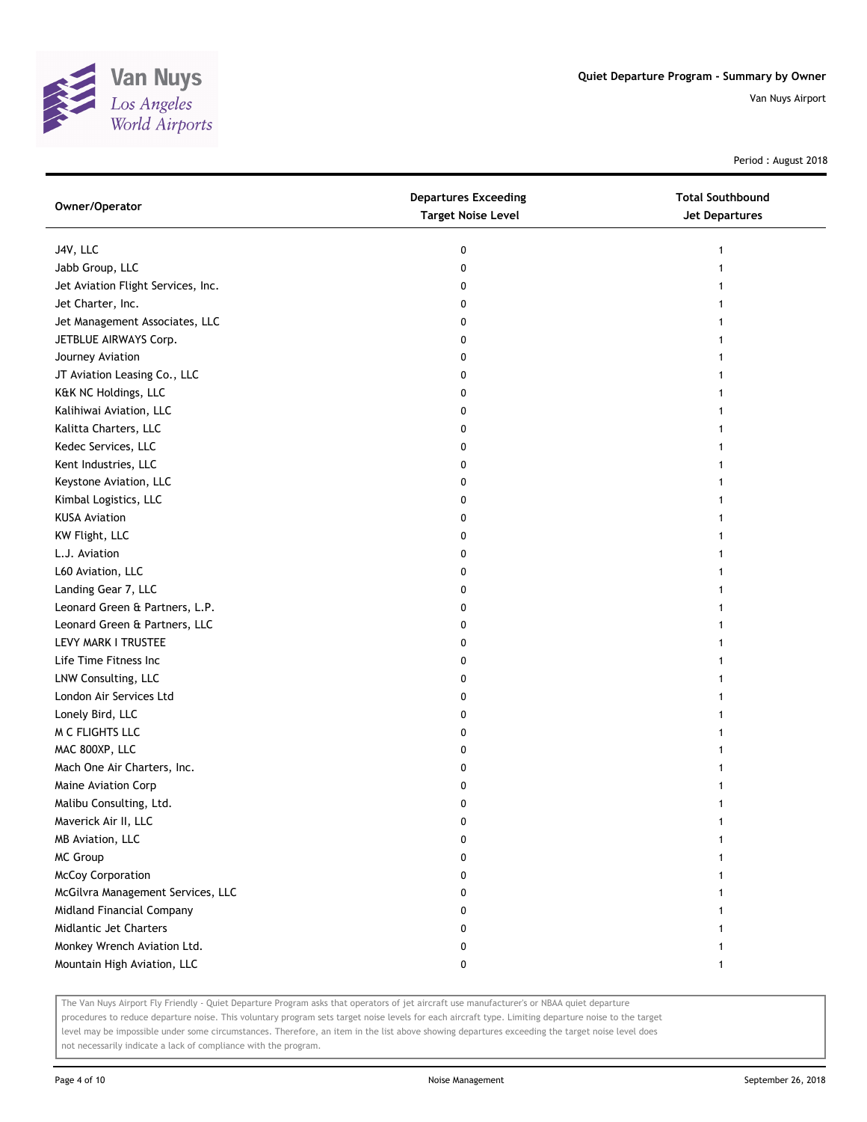

Period : August 2018

| Owner/Operator                     | <b>Departures Exceeding</b><br><b>Target Noise Level</b> | <b>Total Southbound</b><br><b>Jet Departures</b> |
|------------------------------------|----------------------------------------------------------|--------------------------------------------------|
| J4V, LLC                           | 0                                                        | 1                                                |
| Jabb Group, LLC                    | 0                                                        | 1                                                |
| Jet Aviation Flight Services, Inc. | 0                                                        |                                                  |
| Jet Charter, Inc.                  | 0                                                        |                                                  |
| Jet Management Associates, LLC     | 0                                                        |                                                  |
| JETBLUE AIRWAYS Corp.              | 0                                                        |                                                  |
| Journey Aviation                   | 0                                                        | 1                                                |
| JT Aviation Leasing Co., LLC       | 0                                                        | 1                                                |
| K&K NC Holdings, LLC               | 0                                                        | 1                                                |
| Kalihiwai Aviation, LLC            | 0                                                        |                                                  |
| Kalitta Charters, LLC              | 0                                                        |                                                  |
| Kedec Services, LLC                | 0                                                        |                                                  |
| Kent Industries, LLC               | 0                                                        |                                                  |
| Keystone Aviation, LLC             | 0                                                        |                                                  |
| Kimbal Logistics, LLC              | 0                                                        |                                                  |
| <b>KUSA Aviation</b>               | 0                                                        |                                                  |
| KW Flight, LLC                     | 0                                                        | 1                                                |
| L.J. Aviation                      | 0                                                        | 1                                                |
| L60 Aviation, LLC                  | 0                                                        |                                                  |
| Landing Gear 7, LLC                | 0                                                        |                                                  |
| Leonard Green & Partners, L.P.     | 0                                                        |                                                  |
| Leonard Green & Partners, LLC      | 0                                                        |                                                  |
| LEVY MARK I TRUSTEE                | 0                                                        |                                                  |
| Life Time Fitness Inc              | 0                                                        |                                                  |
| LNW Consulting, LLC                | 0                                                        |                                                  |
| London Air Services Ltd            | 0                                                        |                                                  |
| Lonely Bird, LLC                   | 0                                                        |                                                  |
| M C FLIGHTS LLC                    | 0                                                        | 1                                                |
| MAC 800XP, LLC                     | 0                                                        |                                                  |
| Mach One Air Charters, Inc.        | 0                                                        |                                                  |
| Maine Aviation Corp                | 0                                                        |                                                  |
| Malibu Consulting, Ltd.            | 0                                                        |                                                  |
| Maverick Air II, LLC               | U                                                        |                                                  |
| MB Aviation, LLC                   | 0                                                        |                                                  |
| <b>MC Group</b>                    | 0                                                        |                                                  |
| <b>McCoy Corporation</b>           | 0                                                        |                                                  |
| McGilvra Management Services, LLC  | 0                                                        |                                                  |
| Midland Financial Company          | 0                                                        |                                                  |
| Midlantic Jet Charters             | 0                                                        |                                                  |
| Monkey Wrench Aviation Ltd.        | 0                                                        |                                                  |
| Mountain High Aviation, LLC        | 0                                                        | 1                                                |

The Van Nuys Airport Fly Friendly - Quiet Departure Program asks that operators of jet aircraft use manufacturer's or NBAA quiet departure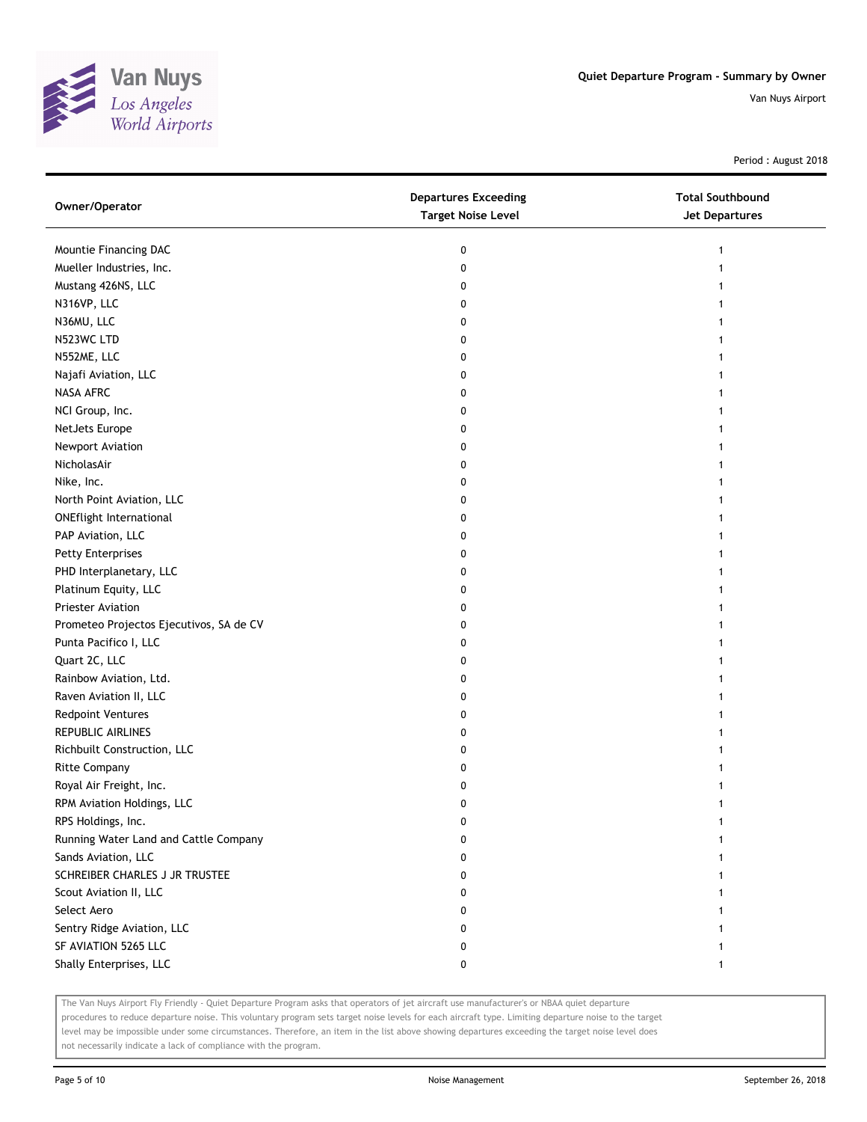

Period : August 2018

| Owner/Operator                          | <b>Departures Exceeding</b><br><b>Target Noise Level</b> | <b>Total Southbound</b><br>Jet Departures |
|-----------------------------------------|----------------------------------------------------------|-------------------------------------------|
| Mountie Financing DAC                   | 0                                                        | 1                                         |
| Mueller Industries, Inc.                | 0                                                        | 1                                         |
| Mustang 426NS, LLC                      | 0                                                        | 1                                         |
| N316VP, LLC                             | 0                                                        |                                           |
| N36MU, LLC                              | 0                                                        | 1                                         |
| N523WC LTD                              | 0                                                        | 1                                         |
| N552ME, LLC                             | 0                                                        | 1                                         |
| Najafi Aviation, LLC                    | 0                                                        |                                           |
| NASA AFRC                               | 0                                                        |                                           |
| NCI Group, Inc.                         | 0                                                        |                                           |
| NetJets Europe                          | 0                                                        |                                           |
| Newport Aviation                        | 0                                                        |                                           |
| NicholasAir                             | 0                                                        |                                           |
| Nike, Inc.                              | 0                                                        |                                           |
| North Point Aviation, LLC               | 0                                                        | 1                                         |
| <b>ONEflight International</b>          | 0                                                        | 1                                         |
| PAP Aviation, LLC                       | 0                                                        |                                           |
| <b>Petty Enterprises</b>                | 0                                                        |                                           |
| PHD Interplanetary, LLC                 | 0                                                        |                                           |
| Platinum Equity, LLC                    | 0                                                        |                                           |
| <b>Priester Aviation</b>                | 0                                                        |                                           |
| Prometeo Projectos Ejecutivos, SA de CV | 0                                                        |                                           |
| Punta Pacifico I, LLC                   | 0                                                        |                                           |
| Quart 2C, LLC                           | 0                                                        |                                           |
| Rainbow Aviation, Ltd.                  | 0                                                        | 1                                         |
| Raven Aviation II, LLC                  | 0                                                        | 1                                         |
| <b>Redpoint Ventures</b>                | 0                                                        |                                           |
| REPUBLIC AIRLINES                       | 0                                                        |                                           |
| Richbuilt Construction, LLC             | 0                                                        |                                           |
| <b>Ritte Company</b>                    | 0                                                        |                                           |
| Royal Air Freight, Inc.                 | 0                                                        |                                           |
| RPM Aviation Holdings, LLC              | 0                                                        |                                           |
| RPS Holdings, Inc.                      | 0                                                        | 1                                         |
| Running Water Land and Cattle Company   | 0                                                        |                                           |
| Sands Aviation, LLC                     | 0                                                        |                                           |
| SCHREIBER CHARLES J JR TRUSTEE          | 0                                                        |                                           |
| Scout Aviation II, LLC                  | 0                                                        |                                           |
| Select Aero                             | 0                                                        |                                           |
| Sentry Ridge Aviation, LLC              | 0                                                        |                                           |
| SF AVIATION 5265 LLC                    | 0                                                        |                                           |
| Shally Enterprises, LLC                 | 0                                                        | 1                                         |

The Van Nuys Airport Fly Friendly - Quiet Departure Program asks that operators of jet aircraft use manufacturer's or NBAA quiet departure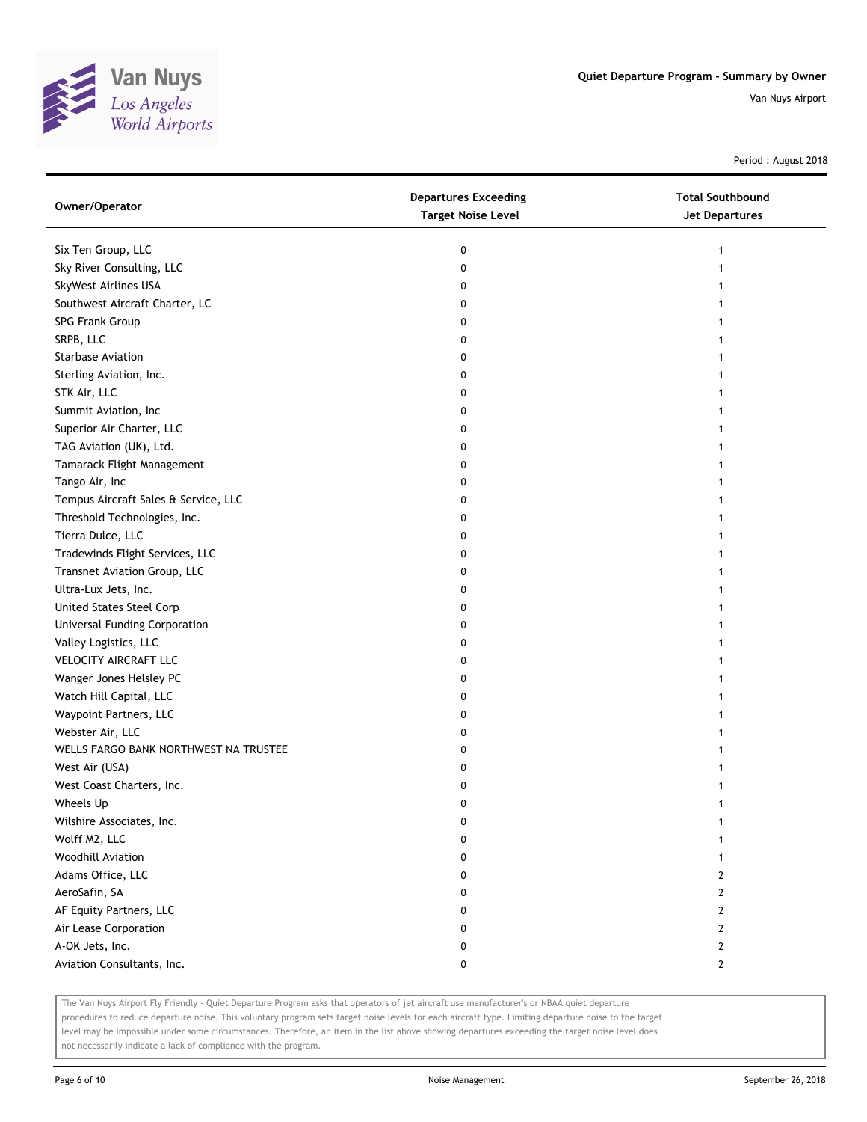

Period : August 2018

| Owner/Operator                        | <b>Departures Exceeding</b><br><b>Target Noise Level</b> | <b>Total Southbound</b><br>Jet Departures |
|---------------------------------------|----------------------------------------------------------|-------------------------------------------|
| Six Ten Group, LLC                    | 0                                                        |                                           |
| Sky River Consulting, LLC             | 0                                                        |                                           |
| SkyWest Airlines USA                  | 0                                                        |                                           |
| Southwest Aircraft Charter, LC        | 0                                                        |                                           |
| SPG Frank Group                       | 0                                                        |                                           |
| SRPB, LLC                             | 0                                                        |                                           |
| <b>Starbase Aviation</b>              | 0                                                        |                                           |
| Sterling Aviation, Inc.               | 0                                                        |                                           |
| STK Air, LLC                          | 0                                                        |                                           |
| Summit Aviation, Inc                  | 0                                                        |                                           |
| Superior Air Charter, LLC             | 0                                                        |                                           |
| TAG Aviation (UK), Ltd.               | 0                                                        |                                           |
| Tamarack Flight Management            | 0                                                        |                                           |
| Tango Air, Inc                        | 0                                                        |                                           |
| Tempus Aircraft Sales & Service, LLC  | 0                                                        |                                           |
| Threshold Technologies, Inc.          | 0                                                        | 1                                         |
| Tierra Dulce, LLC                     | 0                                                        |                                           |
| Tradewinds Flight Services, LLC       | 0                                                        |                                           |
| Transnet Aviation Group, LLC          | 0                                                        |                                           |
| Ultra-Lux Jets, Inc.                  | 0                                                        |                                           |
| <b>United States Steel Corp</b>       | 0                                                        |                                           |
| Universal Funding Corporation         | 0                                                        |                                           |
| Valley Logistics, LLC                 | 0                                                        |                                           |
| VELOCITY AIRCRAFT LLC                 | 0                                                        |                                           |
| Wanger Jones Helsley PC               | 0                                                        |                                           |
| Watch Hill Capital, LLC               | 0                                                        |                                           |
| Waypoint Partners, LLC                | 0                                                        |                                           |
| Webster Air, LLC                      | 0                                                        |                                           |
| WELLS FARGO BANK NORTHWEST NA TRUSTEE | 0                                                        |                                           |
| West Air (USA)                        | 0                                                        |                                           |
| West Coast Charters, Inc.             | 0                                                        |                                           |
| Wheels Up                             | 0                                                        |                                           |
| Wilshire Associates, Inc.             | 0                                                        |                                           |
| Wolff M2, LLC                         | 0                                                        |                                           |
| Woodhill Aviation                     | 0                                                        |                                           |
| Adams Office, LLC                     | 0                                                        | 2                                         |
| AeroSafin, SA                         | 0                                                        | 2                                         |
| AF Equity Partners, LLC               | 0                                                        | 2                                         |
| Air Lease Corporation                 | 0                                                        | $\overline{2}$                            |
| A-OK Jets, Inc.                       | 0                                                        | $\overline{2}$                            |
| Aviation Consultants, Inc.            | 0                                                        | $\mathbf{2}$                              |
|                                       |                                                          |                                           |

The Van Nuys Airport Fly Friendly - Quiet Departure Program asks that operators of jet aircraft use manufacturer's or NBAA quiet departure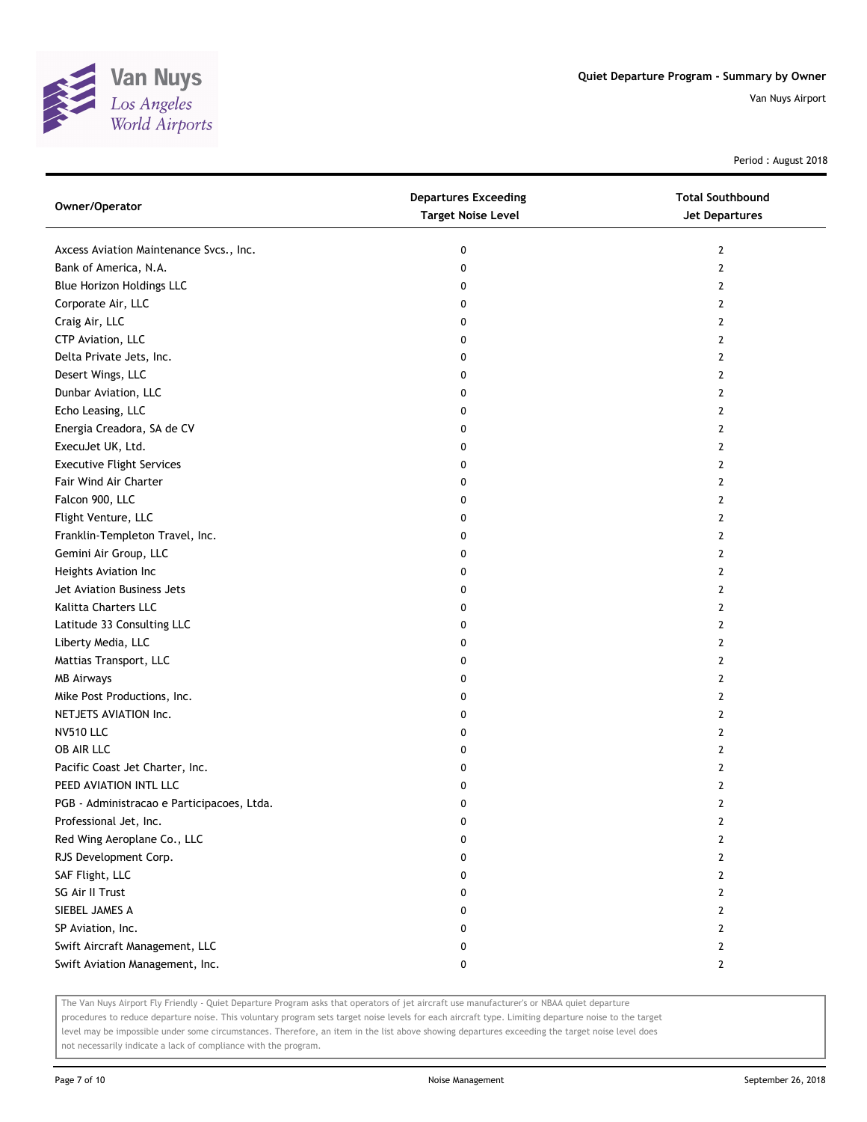

Period : August 2018

| Owner/Operator                             | <b>Departures Exceeding</b><br><b>Target Noise Level</b> | <b>Total Southbound</b><br>Jet Departures |
|--------------------------------------------|----------------------------------------------------------|-------------------------------------------|
| Axcess Aviation Maintenance Svcs., Inc.    | 0                                                        | $\mathbf{2}$                              |
| Bank of America, N.A.                      | 0                                                        | 2                                         |
| <b>Blue Horizon Holdings LLC</b>           | 0                                                        | $\overline{2}$                            |
| Corporate Air, LLC                         | 0                                                        | 2                                         |
| Craig Air, LLC                             | 0                                                        | 2                                         |
| CTP Aviation, LLC                          | 0                                                        | 2                                         |
| Delta Private Jets, Inc.                   | 0                                                        | 2                                         |
| Desert Wings, LLC                          | 0                                                        | 2                                         |
| Dunbar Aviation, LLC                       | 0                                                        | 2                                         |
| Echo Leasing, LLC                          | 0                                                        | 2                                         |
| Energia Creadora, SA de CV                 | 0                                                        | 2                                         |
| ExecuJet UK, Ltd.                          | 0                                                        | 2                                         |
| <b>Executive Flight Services</b>           | 0                                                        | $\overline{2}$                            |
| Fair Wind Air Charter                      | 0                                                        | 2                                         |
| Falcon 900, LLC                            | 0                                                        | 2                                         |
| Flight Venture, LLC                        | 0                                                        | 2                                         |
| Franklin-Templeton Travel, Inc.            | 0                                                        | 2                                         |
| Gemini Air Group, LLC                      | 0                                                        | 2                                         |
| Heights Aviation Inc                       | 0                                                        | 2                                         |
| Jet Aviation Business Jets                 | 0                                                        | 2                                         |
| Kalitta Charters LLC                       | 0                                                        | 2                                         |
| Latitude 33 Consulting LLC                 | 0                                                        | 2                                         |
| Liberty Media, LLC                         | 0                                                        | $\mathbf{2}$                              |
| Mattias Transport, LLC                     | 0                                                        | 2                                         |
| <b>MB Airways</b>                          | 0                                                        | 2                                         |
| Mike Post Productions, Inc.                | 0                                                        | 2                                         |
| NETJETS AVIATION Inc.                      | 0                                                        | 2                                         |
| <b>NV510 LLC</b>                           | 0                                                        | 2                                         |
| OB AIR LLC                                 | 0                                                        | 2                                         |
| Pacific Coast Jet Charter, Inc.            | 0                                                        | 2                                         |
| PEED AVIATION INTL LLC                     | 0                                                        | 2                                         |
| PGB - Administracao e Participacoes, Ltda. | 0                                                        | 2                                         |
| Professional Jet, Inc.                     | 0                                                        | 2                                         |
| Red Wing Aeroplane Co., LLC                | 0                                                        | 2                                         |
| RJS Development Corp.                      | 0                                                        | $\overline{2}$                            |
| SAF Flight, LLC                            | 0                                                        | 2                                         |
| SG Air II Trust                            | 0                                                        | 2                                         |
| SIEBEL JAMES A                             | 0                                                        | 2                                         |
| SP Aviation, Inc.                          | 0                                                        | 2                                         |
| Swift Aircraft Management, LLC             | 0                                                        | $\mathbf{2}$                              |
| Swift Aviation Management, Inc.            | 0                                                        | $\mathbf{2}$                              |

The Van Nuys Airport Fly Friendly - Quiet Departure Program asks that operators of jet aircraft use manufacturer's or NBAA quiet departure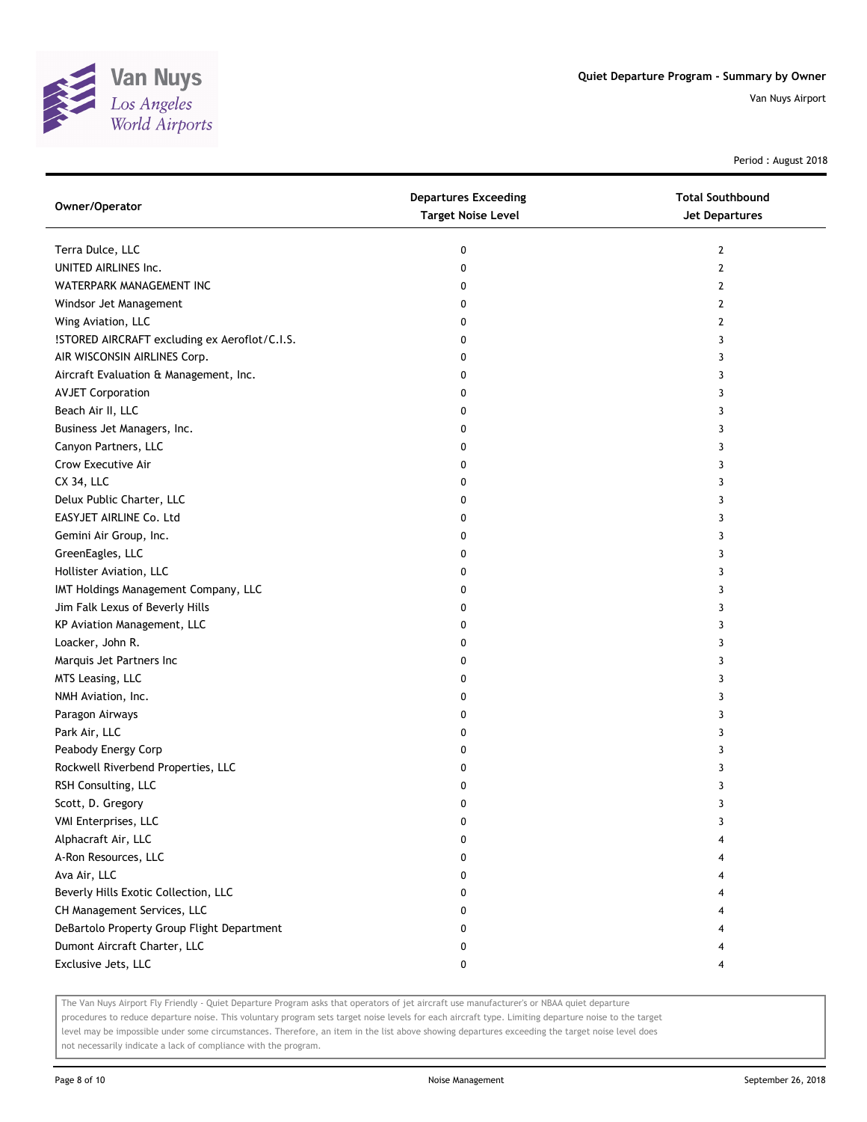

Period : August 2018

| Owner/Operator                                | <b>Departures Exceeding</b><br><b>Target Noise Level</b> | <b>Total Southbound</b><br>Jet Departures |
|-----------------------------------------------|----------------------------------------------------------|-------------------------------------------|
| Terra Dulce, LLC                              | 0                                                        | 2                                         |
| UNITED AIRLINES Inc.                          | 0                                                        | $\overline{2}$                            |
| WATERPARK MANAGEMENT INC                      | 0                                                        | 2                                         |
| Windsor Jet Management                        | 0                                                        | 2                                         |
| Wing Aviation, LLC                            | 0                                                        | 2                                         |
| !STORED AIRCRAFT excluding ex Aeroflot/C.I.S. | 0                                                        | 3                                         |
| AIR WISCONSIN AIRLINES Corp.                  | 0                                                        | 3                                         |
| Aircraft Evaluation & Management, Inc.        | 0                                                        | 3                                         |
| <b>AVJET Corporation</b>                      | 0                                                        | 3                                         |
| Beach Air II, LLC                             | 0                                                        | 3                                         |
| Business Jet Managers, Inc.                   | 0                                                        | 3                                         |
| Canyon Partners, LLC                          | 0                                                        | 3                                         |
| Crow Executive Air                            | 0                                                        | 3                                         |
| CX 34, LLC                                    | 0                                                        | 3                                         |
| Delux Public Charter, LLC                     | 0                                                        | 3                                         |
| EASYJET AIRLINE Co. Ltd                       | 0                                                        | 3                                         |
| Gemini Air Group, Inc.                        | 0                                                        | 3                                         |
| GreenEagles, LLC                              | 0                                                        | 3                                         |
| Hollister Aviation, LLC                       | 0                                                        | 3                                         |
| IMT Holdings Management Company, LLC          | 0                                                        | 3                                         |
| Jim Falk Lexus of Beverly Hills               | 0                                                        | 3                                         |
| KP Aviation Management, LLC                   | 0                                                        | 3                                         |
| Loacker, John R.                              | 0                                                        | 3                                         |
| Marquis Jet Partners Inc                      | 0                                                        | 3                                         |
| MTS Leasing, LLC                              | 0                                                        | 3                                         |
| NMH Aviation, Inc.                            | 0                                                        | 3                                         |
| Paragon Airways                               | 0                                                        | 3                                         |
| Park Air, LLC                                 | 0                                                        | 3                                         |
| Peabody Energy Corp                           | 0                                                        | 3                                         |
| Rockwell Riverbend Properties, LLC            | 0                                                        | 3                                         |
| RSH Consulting, LLC                           | 0                                                        | 3                                         |
| Scott, D. Gregory                             | 0                                                        | 3                                         |
| VMI Enterprises, LLC                          | 0                                                        | 3                                         |
| Alphacraft Air, LLC                           | 0                                                        | 4                                         |
| A-Ron Resources, LLC                          | 0                                                        | 4                                         |
| Ava Air, LLC                                  | 0                                                        | 4                                         |
| Beverly Hills Exotic Collection, LLC          | 0                                                        | 4                                         |
| CH Management Services, LLC                   | 0                                                        | 4                                         |
| DeBartolo Property Group Flight Department    | 0                                                        | 4                                         |
| Dumont Aircraft Charter, LLC                  | 0                                                        | 4                                         |
| Exclusive Jets, LLC                           | 0                                                        | 4                                         |
|                                               |                                                          |                                           |

The Van Nuys Airport Fly Friendly - Quiet Departure Program asks that operators of jet aircraft use manufacturer's or NBAA quiet departure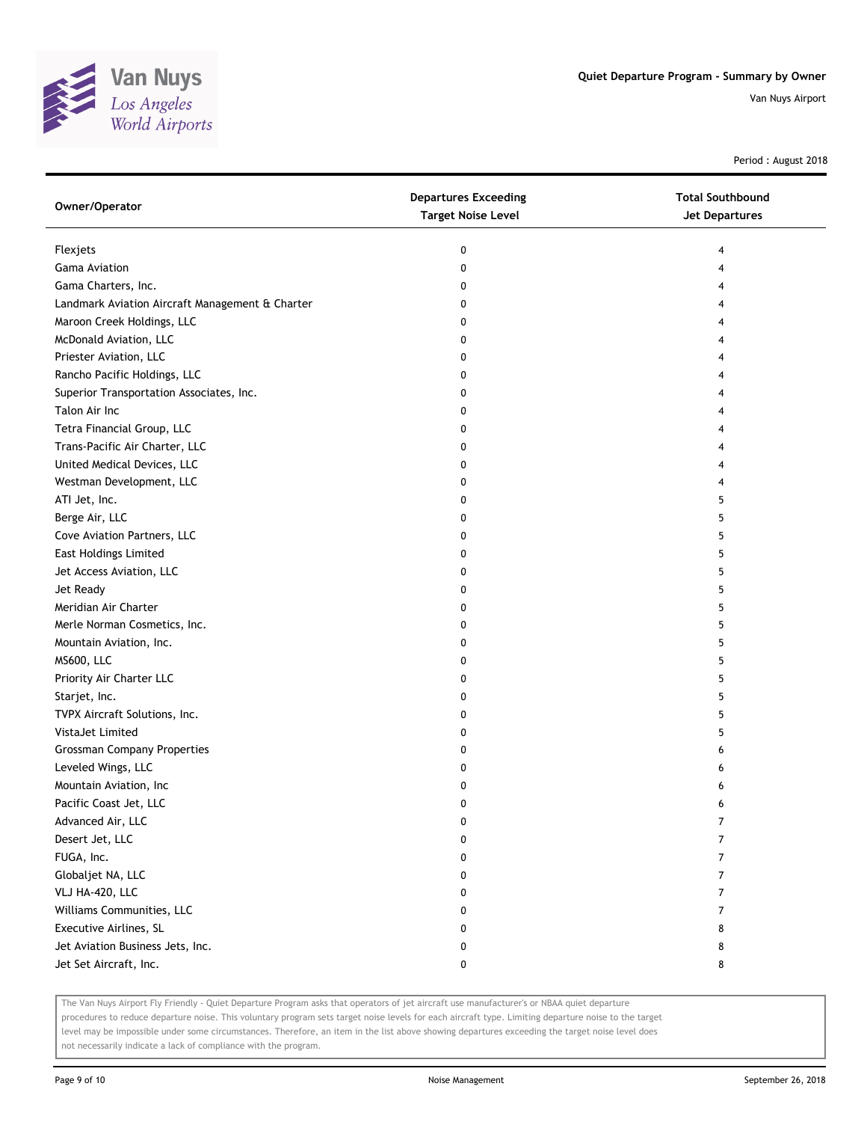

Period : August 2018

| Owner/Operator                                  | <b>Departures Exceeding</b><br><b>Target Noise Level</b> | <b>Total Southbound</b><br><b>Jet Departures</b> |
|-------------------------------------------------|----------------------------------------------------------|--------------------------------------------------|
| Flexjets                                        | 0                                                        | 4                                                |
| <b>Gama Aviation</b>                            | 0                                                        | 4                                                |
| Gama Charters, Inc.                             | 0                                                        |                                                  |
| Landmark Aviation Aircraft Management & Charter | 0                                                        |                                                  |
| Maroon Creek Holdings, LLC                      | 0                                                        |                                                  |
| McDonald Aviation, LLC                          | 0                                                        |                                                  |
| Priester Aviation, LLC                          | 0                                                        |                                                  |
| Rancho Pacific Holdings, LLC                    | 0                                                        | 4                                                |
| Superior Transportation Associates, Inc.        | 0                                                        | 4                                                |
| Talon Air Inc                                   | 0                                                        |                                                  |
| Tetra Financial Group, LLC                      | 0                                                        |                                                  |
| Trans-Pacific Air Charter, LLC                  | 0                                                        |                                                  |
| United Medical Devices, LLC                     | 0                                                        |                                                  |
| Westman Development, LLC                        | 0                                                        |                                                  |
| ATI Jet, Inc.                                   | 0                                                        | 5                                                |
| Berge Air, LLC                                  | 0                                                        | 5                                                |
| Cove Aviation Partners, LLC                     | 0                                                        | 5                                                |
| <b>East Holdings Limited</b>                    | 0                                                        | 5                                                |
| Jet Access Aviation, LLC                        | 0                                                        | 5                                                |
| Jet Ready                                       | 0                                                        | 5                                                |
| Meridian Air Charter                            | 0                                                        | 5                                                |
| Merle Norman Cosmetics, Inc.                    | 0                                                        | 5                                                |
| Mountain Aviation, Inc.                         | 0                                                        | 5                                                |
| MS600, LLC                                      | 0                                                        | 5                                                |
| Priority Air Charter LLC                        | 0                                                        | 5                                                |
| Starjet, Inc.                                   | 0                                                        | 5                                                |
| TVPX Aircraft Solutions, Inc.                   | 0                                                        | 5                                                |
| VistaJet Limited                                | 0                                                        | 5                                                |
| <b>Grossman Company Properties</b>              | 0                                                        | 6                                                |
| Leveled Wings, LLC                              | 0                                                        | 6                                                |
| Mountain Aviation, Inc                          | 0                                                        | 6                                                |
| Pacific Coast Jet, LLC                          | 0                                                        | 6                                                |
| Advanced Air, LLC                               | 0                                                        |                                                  |
| Desert Jet, LLC                                 | 0                                                        | 7                                                |
| FUGA, Inc.                                      | 0                                                        | 7                                                |
| Globaljet NA, LLC                               | 0                                                        | 7                                                |
| VLJ HA-420, LLC                                 | 0                                                        | 7                                                |
| Williams Communities, LLC                       | 0                                                        | 7                                                |
| Executive Airlines, SL                          | 0                                                        | 8                                                |
| Jet Aviation Business Jets, Inc.                | 0                                                        | 8                                                |
| Jet Set Aircraft, Inc.                          | 0                                                        | 8                                                |

The Van Nuys Airport Fly Friendly - Quiet Departure Program asks that operators of jet aircraft use manufacturer's or NBAA quiet departure